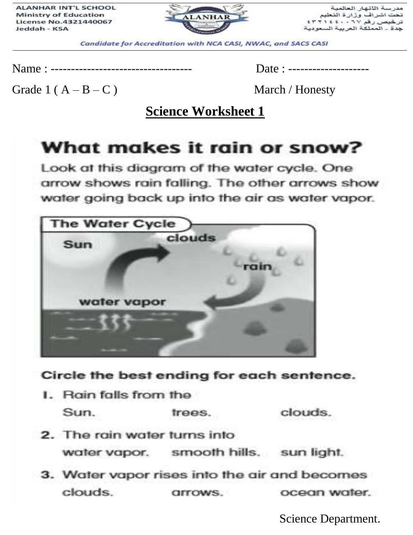

مدرسة اللائهار العالمية تحت اشراف وزارة التعليم<br>ترخيص رقم ٢٦٧ ، ٤٢٢١٤٤٠ جدة \_ المملكة العربية السعودية

Candidate for Accreditation with NCA CASI, NWAC, and SACS CASI

Name : ----------------------------------- Date : --------------------

Grade  $1(A - B - C)$  March / Honesty

**Science Worksheet 1**

# What makes it rain or snow?

Look at this diagram of the water cycle. One arrow shows rain falling. The other arrows show water going back up into the air as water vapor.



#### Circle the best ending for each sentence.

- I. Rain falls from the clouds. Sun. trees.
- 2. The rain water turns into water vapor. smooth hills. sun light.
- 3. Water vapor rises into the air and becomes clouds. ocean water. arrows.

Science Department.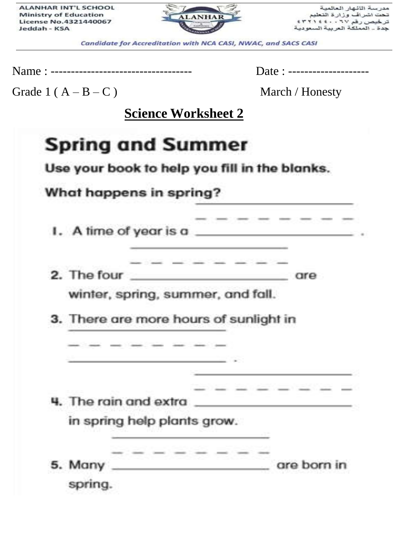ALANHAR INT'L SCHOOL **Ministry of Education** License No.4321440067 Jeddah - KSA



مدرسة اللائهار العالمية تحت اشراف وزارة التعليم تر خیص رقم ۲۰ ، ۲۰ ؛ ۲۰ ۲ جدة \_ المملكة العربية السعوديا

Candidate for Accreditation with NCA CASI, NWAC, and SACS CASI

Name : ----------------------------------- Date : --------------------

Grade  $1(A - B - C)$  March / Honesty

**Science Worksheet 2**

|                                        | What happens in spring? |                                    |                                          |
|----------------------------------------|-------------------------|------------------------------------|------------------------------------------|
|                                        |                         |                                    |                                          |
|                                        | ______                  |                                    | I. A time of year is a                   |
|                                        |                         | the property of the control of the | 2. The four and are are are              |
| winter, spring, summer, and fall.      |                         |                                    |                                          |
| 3. There are more hours of sunlight in |                         |                                    |                                          |
|                                        |                         |                                    |                                          |
|                                        |                         |                                    |                                          |
|                                        |                         |                                    |                                          |
|                                        |                         |                                    | 4. The rain and extra __________________ |
|                                        |                         |                                    |                                          |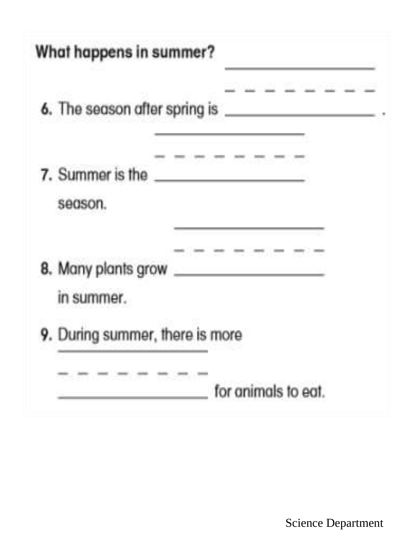| What happens in summer?              |
|--------------------------------------|
| <u> and an anti-strategic and an</u> |
| 7. Summer is the<br>season.          |
| 8. Many plants grow<br>in summer.    |
| 9. During summer, there is more      |
| for animals to eat.                  |

Science Department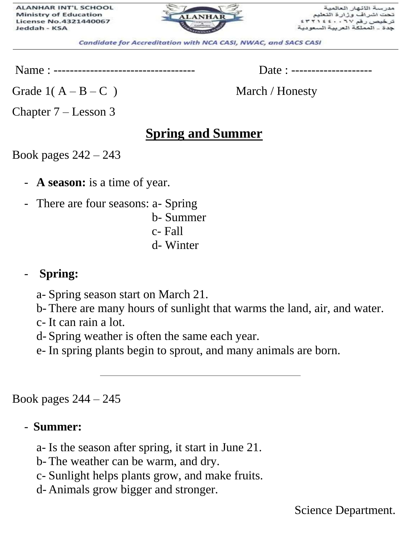

مدرسة اللثهار العالم ت اشراف وزارة التعا ، رقم ۲۷ ۰ ، ٤٤٠ المملكة العرد

Candidate for Accreditation with NCA CASI, NWAC, and SACS CASI

Name : ----------------------------------- Date : --------------------

Grade  $1(A - B - C)$  March / Honesty

Chapter 7 – Lesson 3

## **Spring and Summer**

Book pages 242 – 243

- **A season:** is a time of year.
- There are four seasons: a- Spring
	- b- Summer c- Fall d- Winter

#### - **Spring:**

a- Spring season start on March 21.

b- There are many hours of sunlight that warms the land, air, and water.

c- It can rain a lot.

d- Spring weather is often the same each year.

e- In spring plants begin to sprout, and many animals are born.

Book pages 244 – 245

#### - **Summer:**

a- Is the season after spring, it start in June 21.

b- The weather can be warm, and dry.

c- Sunlight helps plants grow, and make fruits.

d- Animals grow bigger and stronger.

Science Department.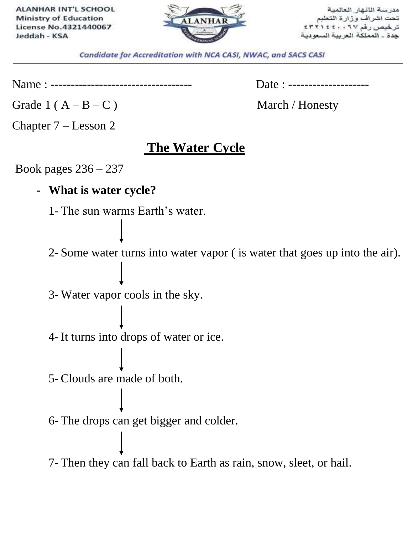

مدرسة اللئهار العالم تحت اشر اف وز ار ة اذ ترخيص رقم ٢٧٠ جدة \_ المملكة العربية السعوا

Candidate for Accreditation with NCA CASI, NWAC, and SACS CASI

Name : ----------------------------------- Date : --------------------

Grade  $1(A - B - C)$  March / Honesty

Chapter 7 – Lesson 2

### **The Water Cycle**

Book pages 236 – 237

**- What is water cycle?**

1- The sun warms Earth's water.

2- Some water turns into water vapor ( is water that goes up into the air).

3- Water vapor cools in the sky.

4- It turns into drops of water or ice.

5- Clouds are made of both.

6- The drops can get bigger and colder.

7- Then they can fall back to Earth as rain, snow, sleet, or hail.